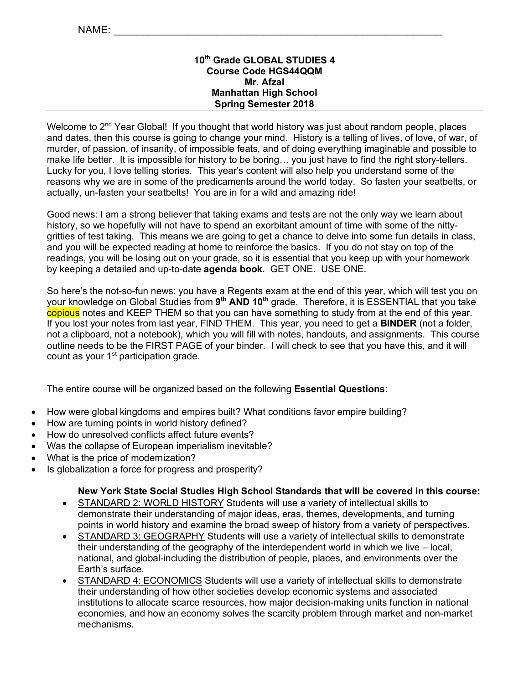# **10th Grade GLOBAL STUDIES 4 Course Code HGS44QQM Mr. Afzal Manhattan High School Spring Semester 2018**

Welcome to 2<sup>nd</sup> Year Global! If you thought that world history was just about random people, places and dates, then this course is going to change your mind. History is a telling of lives, of love, of war, of murder, of passion, of insanity, of impossible feats, and of doing everything imaginable and possible to make life better. It is impossible for history to be boring… you just have to find the right story-tellers. Lucky for you, I love telling stories. This year's content will also help you understand some of the reasons why we are in some of the predicaments around the world today. So fasten your seatbelts, or actually, un-fasten your seatbelts! You are in for a wild and amazing ride!

Good news: I am a strong believer that taking exams and tests are not the only way we learn about history, so we hopefully will not have to spend an exorbitant amount of time with some of the nittygritties of test taking. This means we are going to get a chance to delve into some fun details in class, and you will be expected reading at home to reinforce the basics. If you do not stay on top of the readings, you will be losing out on your grade, so it is essential that you keep up with your homework by keeping a detailed and up-to-date **agenda book**. GET ONE. USE ONE.

So here's the not-so-fun news: you have a Regents exam at the end of this year, which will test you on your knowledge on Global Studies from **9th AND 10th** grade. Therefore, it is ESSENTIAL that you take copious notes and KEEP THEM so that you can have something to study from at the end of this year. If you lost your notes from last year, FIND THEM. This year, you need to get a **BINDER** (not a folder, not a clipboard, not a notebook), which you will fill with notes, handouts, and assignments. This course outline needs to be the FIRST PAGE of your binder. I will check to see that you have this, and it will count as your 1<sup>st</sup> participation grade.

The entire course will be organized based on the following **Essential Questions**:

- How were global kingdoms and empires built? What conditions favor empire building?
- How are turning points in world history defined?
- How do unresolved conflicts affect future events?
- Was the collapse of European imperialism inevitable?
- What is the price of modernization?
- Is globalization a force for progress and prosperity?

### **New York State Social Studies High School Standards that will be covered in this course:**

- STANDARD 2: WORLD HISTORY Students will use a variety of intellectual skills to demonstrate their understanding of major ideas, eras, themes, developments, and turning points in world history and examine the broad sweep of history from a variety of perspectives.
- STANDARD 3: GEOGRAPHY Students will use a variety of intellectual skills to demonstrate their understanding of the geography of the interdependent world in which we live – local, national, and global-including the distribution of people, places, and environments over the Earth's surface.
- STANDARD 4: ECONOMICS Students will use a variety of intellectual skills to demonstrate their understanding of how other societies develop economic systems and associated institutions to allocate scarce resources, how major decision-making units function in national economies, and how an economy solves the scarcity problem through market and non-market mechanisms.